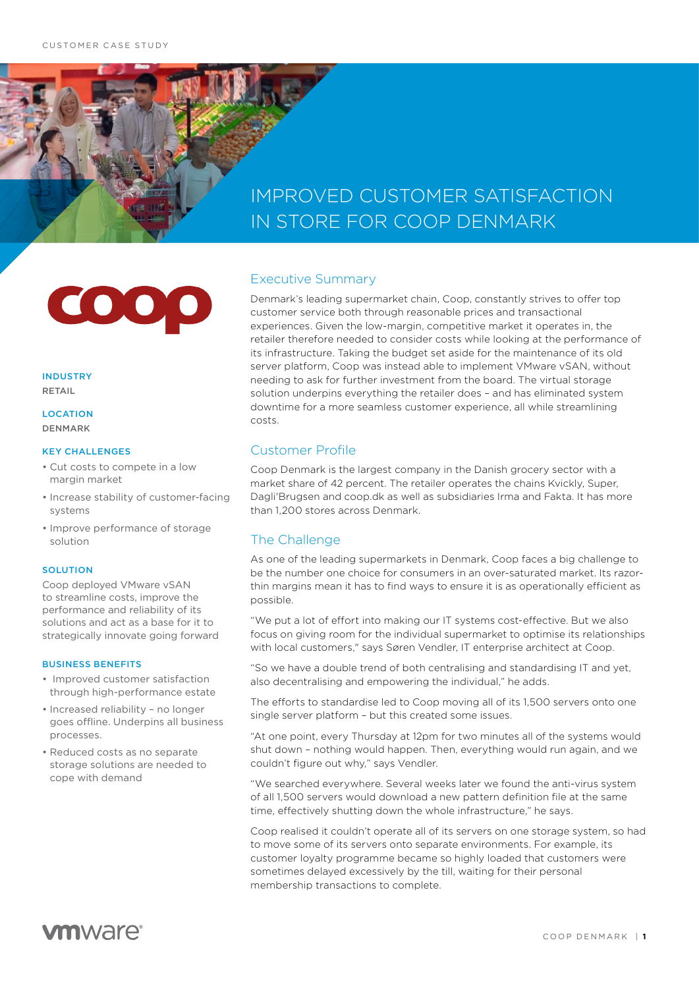# IMPROVED CUSTOMER SATISFACTION IN STORE FOR COOP DENMARK

000

INDUSTRY RETAIL

**LOCATION** DENMARK

#### KEY CHALLENGES

- Cut costs to compete in a low margin market
- Increase stability of customer-facing systems
- Improve performance of storage solution

#### **SOLUTION**

Coop deployed VMware vSAN to streamline costs, improve the performance and reliability of its solutions and act as a base for it to strategically innovate going forward

#### BUSINESS BENEFITS

- Improved customer satisfaction through high-performance estate
- Increased reliability no longer goes offline. Underpins all business processes.
- Reduced costs as no separate storage solutions are needed to cope with demand

### Executive Summary

Denmark's leading supermarket chain, Coop, constantly strives to offer top customer service both through reasonable prices and transactional experiences. Given the low-margin, competitive market it operates in, the retailer therefore needed to consider costs while looking at the performance of its infrastructure. Taking the budget set aside for the maintenance of its old server platform, Coop was instead able to implement VMware vSAN, without needing to ask for further investment from the board. The virtual storage solution underpins everything the retailer does - and has eliminated system downtime for a more seamless customer experience, all while streamlining costs.

## Customer Profile

Coop Denmark is the largest company in the Danish grocery sector with a market share of 42 percent. The retailer operates the chains Kvickly, Super, Dagli'Brugsen and coop.dk as well as subsidiaries Irma and Fakta. It has more than 1,200 stores across Denmark.

## The Challenge

As one of the leading supermarkets in Denmark, Coop faces a big challenge to be the number one choice for consumers in an over-saturated market. Its razorthin margins mean it has to find ways to ensure it is as operationally efficient as possible.

"We put a lot of effort into making our IT systems cost-effective. But we also focus on giving room for the individual supermarket to optimise its relationships with local customers," says Søren Vendler, IT enterprise architect at Coop.

"So we have a double trend of both centralising and standardising IT and yet, also decentralising and empowering the individual," he adds.

The efforts to standardise led to Coop moving all of its 1,500 servers onto one single server platform – but this created some issues.

"At one point, every Thursday at 12pm for two minutes all of the systems would shut down – nothing would happen. Then, everything would run again, and we couldn't figure out why," says Vendler.

"We searched everywhere. Several weeks later we found the anti-virus system of all 1,500 servers would download a new pattern definition file at the same time, effectively shutting down the whole infrastructure," he says.

Coop realised it couldn't operate all of its servers on one storage system, so had to move some of its servers onto separate environments. For example, its customer loyalty programme became so highly loaded that customers were sometimes delayed excessively by the till, waiting for their personal membership transactions to complete.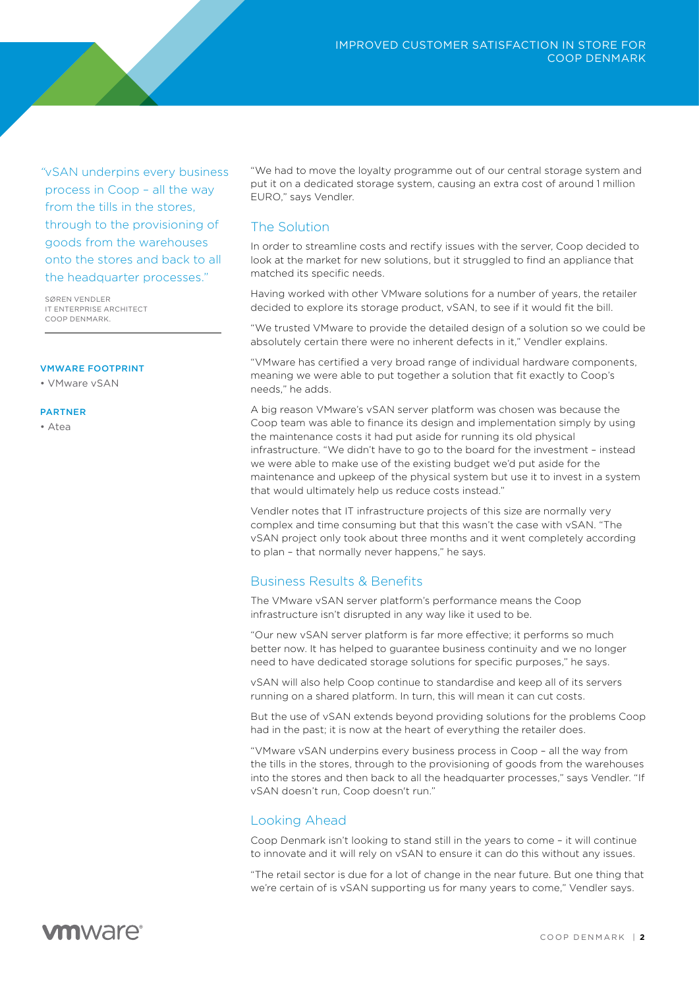*"*vSAN underpins every business process in Coop – all the way from the tills in the stores, through to the provisioning of goods from the warehouses onto the stores and back to all the headquarter processes."

SØREN VENDLER IT ENTERPRISE ARCHITECT COOP DENMARK.

#### VMWARE FOOTPRINT

• VMware vSAN

#### PARTNER

• Atea

"We had to move the loyalty programme out of our central storage system and put it on a dedicated storage system, causing an extra cost of around 1 million EURO," says Vendler.

## The Solution

In order to streamline costs and rectify issues with the server, Coop decided to look at the market for new solutions, but it struggled to find an appliance that matched its specific needs.

Having worked with other VMware solutions for a number of years, the retailer decided to explore its storage product, vSAN, to see if it would fit the bill.

"We trusted VMware to provide the detailed design of a solution so we could be absolutely certain there were no inherent defects in it." Vendler explains.

"VMware has certified a very broad range of individual hardware components, meaning we were able to put together a solution that fit exactly to Coop's needs," he adds.

A big reason VMware's vSAN server platform was chosen was because the Coop team was able to finance its design and implementation simply by using the maintenance costs it had put aside for running its old physical infrastructure. "We didn't have to go to the board for the investment – instead we were able to make use of the existing budget we'd put aside for the maintenance and upkeep of the physical system but use it to invest in a system that would ultimately help us reduce costs instead."

Vendler notes that IT infrastructure projects of this size are normally very complex and time consuming but that this wasn't the case with vSAN. "The vSAN project only took about three months and it went completely according to plan – that normally never happens," he says.

## Business Results & Benefits

The VMware vSAN server platform's performance means the Coop infrastructure isn't disrupted in any way like it used to be.

"Our new vSAN server platform is far more effective; it performs so much better now. It has helped to guarantee business continuity and we no longer need to have dedicated storage solutions for specific purposes," he says.

vSAN will also help Coop continue to standardise and keep all of its servers running on a shared platform. In turn, this will mean it can cut costs.

But the use of vSAN extends beyond providing solutions for the problems Coop had in the past; it is now at the heart of everything the retailer does.

"VMware vSAN underpins every business process in Coop – all the way from the tills in the stores, through to the provisioning of goods from the warehouses into the stores and then back to all the headquarter processes," says Vendler. "If vSAN doesn't run, Coop doesn't run."

## Looking Ahead

Coop Denmark isn't looking to stand still in the years to come – it will continue to innovate and it will rely on vSAN to ensure it can do this without any issues.

"The retail sector is due for a lot of change in the near future. But one thing that we're certain of is vSAN supporting us for many years to come," Vendler says.

## **vm**ware<sup>®</sup>